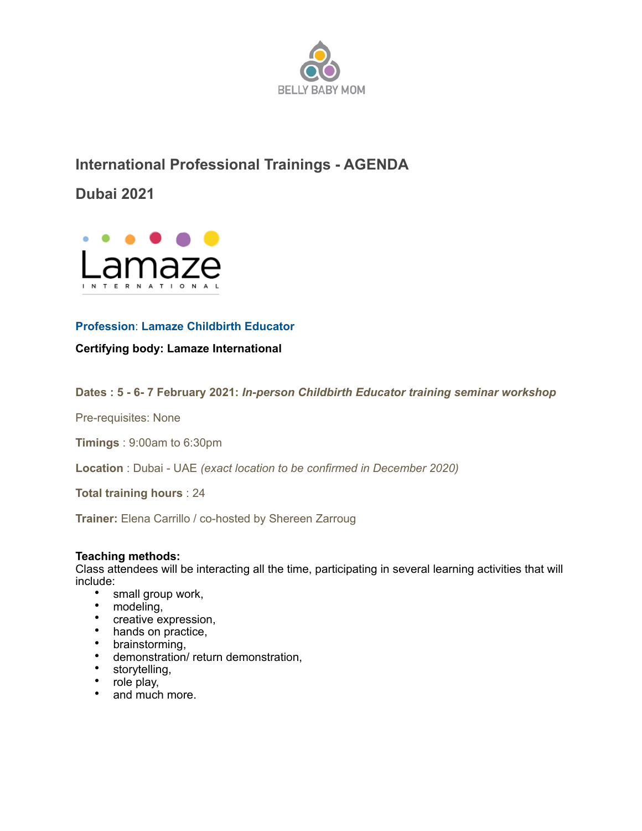

# **International Professional Trainings - AGENDA**

**Dubai 2021**



## **Profession**: **Lamaze Childbirth Educator**

**Certifying body: Lamaze International** 

**Dates : 5 - 6- 7 February 2021:** *In-person Childbirth Educator training seminar workshop* 

Pre-requisites: None

**Timings** : 9:00am to 6:30pm

**Location** : Dubai - UAE *(exact location to be confirmed in December 2020)* 

**Total training hours** : 24

**Trainer:** Elena Carrillo / co-hosted by Shereen Zarroug

#### **Teaching methods:**

Class attendees will be interacting all the time, participating in several learning activities that will include:

- small group work,
- modeling,
- creative expression,
- hands on practice,
- brainstorming,
- demonstration/ return demonstration,
- storytelling,
- role play,
- and much more.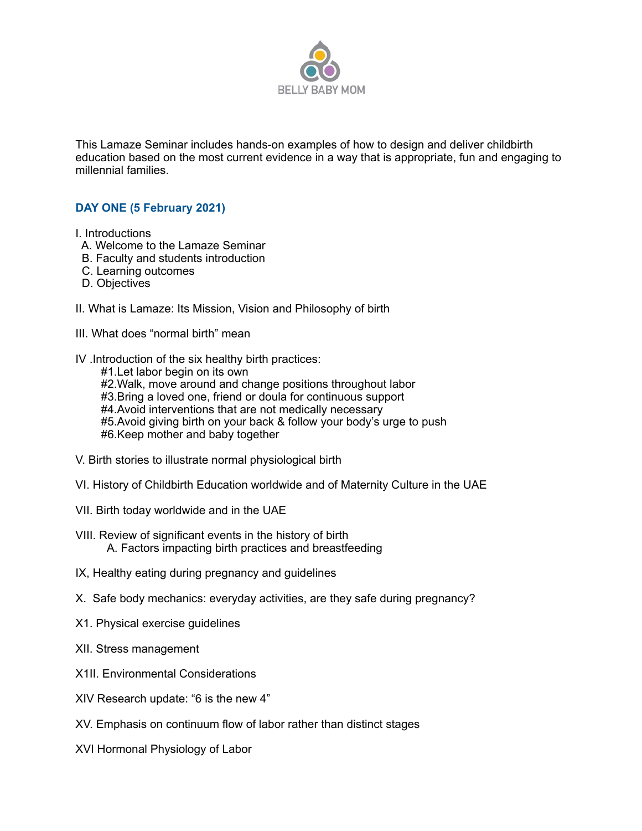

This Lamaze Seminar includes hands-on examples of how to design and deliver childbirth education based on the most current evidence in a way that is appropriate, fun and engaging to millennial families.

### **DAY ONE (5 February 2021)**

I. Introductions

- A. Welcome to the Lamaze Seminar
- B. Faculty and students introduction
- C. Learning outcomes
- D. Objectives
- II. What is Lamaze: Its Mission, Vision and Philosophy of birth
- III. What does "normal birth" mean
- IV .Introduction of the six healthy birth practices:
	- #1.Let labor begin on its own #2. Walk, move around and change positions throughout labor #3.Bring a loved one, friend or doula for continuous support #4. Avoid interventions that are not medically necessary #5.Avoid giving birth on your back & follow your body's urge to push #6.Keep mother and baby together
- V. Birth stories to illustrate normal physiological birth
- VI. History of Childbirth Education worldwide and of Maternity Culture in the UAE
- VII. Birth today worldwide and in the UAE
- VIII. Review of significant events in the history of birth A. Factors impacting birth practices and breastfeeding
- IX, Healthy eating during pregnancy and guidelines
- X. Safe body mechanics: everyday activities, are they safe during pregnancy?
- X1. Physical exercise guidelines
- XII. Stress management
- X1II. Environmental Considerations
- XIV Research update: "6 is the new 4"
- XV. Emphasis on continuum flow of labor rather than distinct stages
- XVI Hormonal Physiology of Labor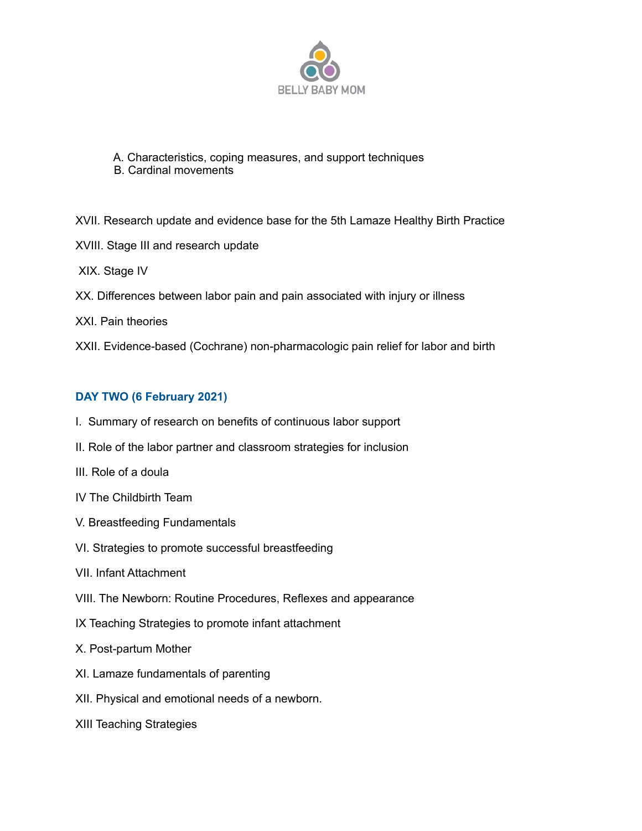

- A. Characteristics, coping measures, and support techniques B. Cardinal movements
- XVII. Research update and evidence base for the 5th Lamaze Healthy Birth Practice XVIII. Stage III and research update XIX. Stage IV XX. Differences between labor pain and pain associated with injury or illness XXI. Pain theories
- XXII. Evidence-based (Cochrane) non-pharmacologic pain relief for labor and birth

### **DAY TWO (6 February 2021)**

- I. Summary of research on benefits of continuous labor support
- II. Role of the labor partner and classroom strategies for inclusion
- III. Role of a doula
- IV The Childbirth Team
- V. Breastfeeding Fundamentals
- VI. Strategies to promote successful breastfeeding
- VII. Infant Attachment
- VIII. The Newborn: Routine Procedures, Reflexes and appearance
- IX Teaching Strategies to promote infant attachment
- X. Post-partum Mother
- XI. Lamaze fundamentals of parenting
- XII. Physical and emotional needs of a newborn.
- XIII Teaching Strategies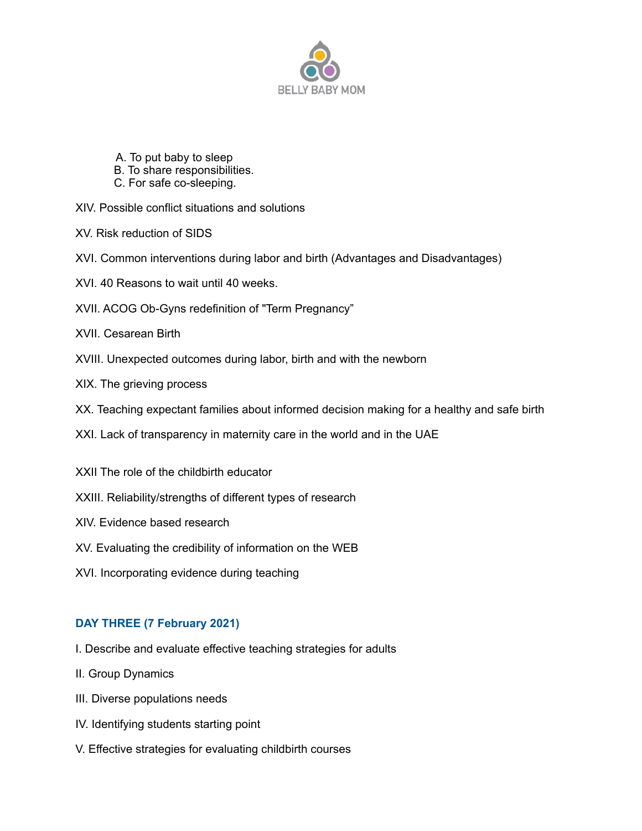

- A. To put baby to sleep
- B. To share responsibilities.
- C. For safe co-sleeping.
- XIV. Possible conflict situations and solutions
- XV. Risk reduction of SIDS
- XVI. Common interventions during labor and birth (Advantages and Disadvantages)
- XVI. 40 Reasons to wait until 40 weeks.
- XVII. ACOG Ob-Gyns redefinition of "Term Pregnancy"
- XVII. Cesarean Birth
- XVIII. Unexpected outcomes during labor, birth and with the newborn
- XIX. The grieving process
- XX. Teaching expectant families about informed decision making for a healthy and safe birth
- XXI. Lack of transparency in maternity care in the world and in the UAE
- XXII The role of the childbirth educator
- XXIII. Reliability/strengths of different types of research
- XIV. Evidence based research
- XV. Evaluating the credibility of information on the WEB
- XVI. Incorporating evidence during teaching

### **DAY THREE (7 February 2021)**

- I. Describe and evaluate effective teaching strategies for adults
- II. Group Dynamics
- III. Diverse populations needs
- IV. Identifying students starting point
- V. Effective strategies for evaluating childbirth courses